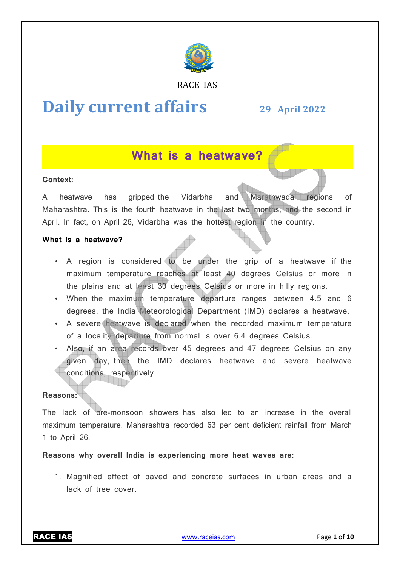

### RACE IAS

# **Daily current affairs**

**29 April April 2022**

# **What is a heatwave?**

### **Context:**

A heatwave has Maharashtra. This is the fourth heatwave in the last two months, and the second in April. In fact, on April 26, Vidarbha was the hottest region in the country. aripped the Vidarbha and Marathwada regions of

### **What is a heatwave?**

- A region is considered to be under the grip of a heatwave if the maximum temperature reaches at least 40 degrees Celsius or more in the plains and at least 30 degrees Celsius or more in hilly regions.
- When the maximum temperature departure ranges between 4.5 and 6 degrees, the India Meteorological Department (IMD) declares a heatwave.
- A severe heatwave is declared when the recorded maximum temperature of a locality departure from normal is over 6.4 degrees Celsius.
- Also, if an area records over 45 degrees and 47 degrees Celsius on any given day, then the IMD declares heatwave and severe heatwave conditions, respectively.

### **Reasons:**

The lack of pre-monsoon showers has also led to an increase in the overall maximum temperature. Maharashtra recorded 63 per cent deficient rainfall from March 1 to April 26.

**Reasons why overall India is experiencing more heat waves are: easons** 

1. Magnified effect of paved and concrete surfaces in urban areas and a lack of tree cover.

RACE IAS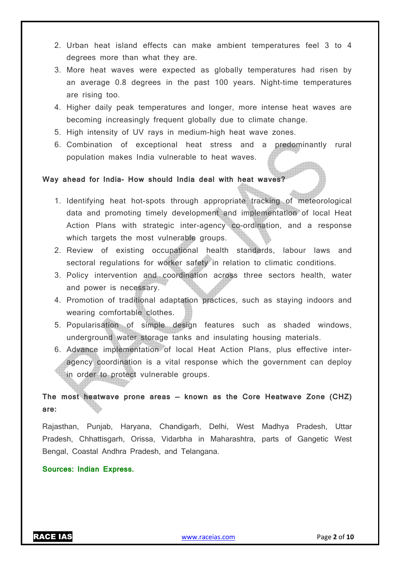- 2. Urban heat island effects can make ambient temperatures feel 3 to 4 degrees more than what they are.
- 3. More heat waves were expected as globally temperatures had risen by an average 0.8 degrees in the past 100 years. Night-time temperatures are rising too.
- 4. Higher daily peak temperatures and longer, more intense heat waves are becoming increasingly frequent globally due to climate change.
- 5. High intensity of UV rays in medium-high heat wave zones.
- 6. Combination of exceptional heat stress and a predominantly rural population makes India vulnerable to heat waves.

### **Way ahead for India- How should India deal with heat waves?**

- 1. Identifying heat hot-spots through appropriate tracking of meteorological data and promoting timely development and implementation of local Heat Action Plans with strategic inter-agency co-ordination, and a response which targets the most vulnerable groups.
- 2. Review of existing occupational health standards, labour laws and sectoral regulations for worker safety in relation to climatic conditions.
- 3. Policy intervention and coordination across three sectors health, water and power is necessary.
- 4. Promotion of traditional adaptation practices, such as staying indoors and wearing comfortable clothes.
- 5. Popularisation of simple design features such as shaded windows, underground water storage tanks and insulating housing materials.
- 6. Advance implementation of local Heat Action Plans, plus effective interagency coordination is a vital response which the government can deploy in order to protect vulnerable groups.

### **The most heatwave prone areas — known as the Core Heatwave Zone (CHZ) are:**

Rajasthan, Punjab, Haryana, Chandigarh, Delhi, West Madhya Pradesh, Uttar Pradesh, Chhattisgarh, Orissa, Vidarbha in Maharashtra, parts of Gangetic West Bengal, Coastal Andhra Pradesh, and Telangana.

### **Sources: Indian Express.**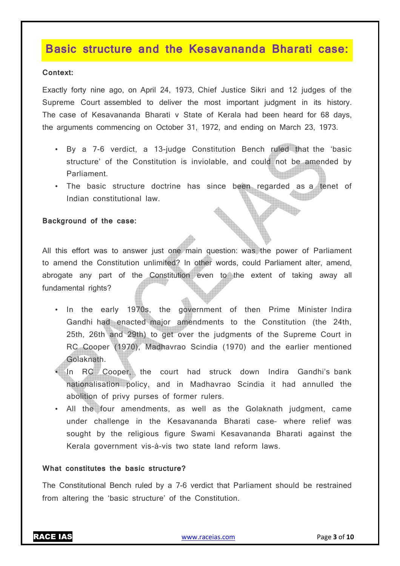### **Basic structure and the Kesavananda Bharati case:**

### **Context:**

Exactly forty nine ago, on April 24, 1973, Chief Justice Sikri and 12 judges of the Supreme Court assembled to deliver the most important judgment in its history. The case of Kesavananda Bharati v State of Kerala had been heard for 68 days, the arguments commencing on October 31, 1972, and ending on March 23, 1973.

- By a 7-6 verdict, a 13-judge Constitution Bench ruled that the 'basic structure' of the Constitution is inviolable, and could not be amended by Parliament.
- The basic structure doctrine has since been regarded as a tenet of Indian constitutional law.

### **Background of the case:**

All this effort was to answer just one main question: was the power of Parliament to amend the Constitution unlimited? In other words, could Parliament alter, amend, abrogate any part of the Constitution even to the extent of taking away all fundamental rights?

- In the early 1970s, the government of then Prime Minister Indira Gandhi had enacted major amendments to the Constitution (the 24th, 25th, 26th and 29th) to get over the judgments of the Supreme Court in RC Cooper (1970), Madhavrao Scindia (1970) and the earlier mentioned Golaknath.
- In RC Cooper, the court had struck down Indira Gandhi's bank nationalisation policy, and in Madhavrao Scindia it had annulled the abolition of privy purses of former rulers.
- All the four amendments, as well as the Golaknath judgment, came under challenge in the Kesavananda Bharati case– where relief was sought by the religious figure Swami Kesavananda Bharati against the Kerala government vis-à-vis two state land reform laws.

### **What constitutes the basic structure?**

The Constitutional Bench ruled by a 7-6 verdict that Parliament should be restrained from altering the 'basic structure' of the Constitution.

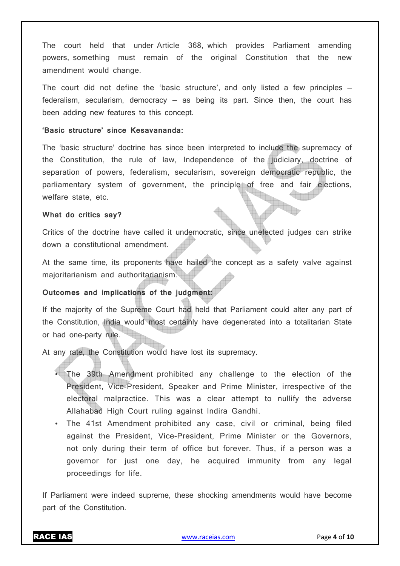The court held that under Article 368, which provides Parliament amending powers, something must remain of the original Constitution that the new amendment would change.

The court did not define the 'basic structure', and only listed a few principles federalism, secularism, democracy  $-$  as being its part. Since then, the court has been adding new features to this concept.

### **'Basic structure' since Kesavananda:**

The 'basic structure' doctrine has since been interpreted to include the supremacy of the Constitution, the rule of law, Independence of the judiciary, doctrine of separation of powers, federalism, secularism, sovereign democratic republic, the parliamentary system of government, the principle of free and fair elections, welfare state, etc.

#### **What do critics say?**

Critics of the doctrine have called it undemocratic, since unelected judges can strike down a constitutional amendment.

At the same time, its proponents have hailed the concept as a safety valve against majoritarianism and authoritarianism.

### **Outcomes and implications of the judgment:**

If the majority of the Supreme Court had held that Parliament could alter any part of the Constitution, India would most certainly have degenerated into a totalitarian State or had one-party rule.

At any rate, the Constitution would have lost its supremacy.

- The 39th Amendment prohibited any challenge to the election of the President, Vice-President, Speaker and Prime Minister, irrespective of the electoral malpractice. This was a clear attempt to nullify the adverse Allahabad High Court ruling against Indira Gandhi.
- The 41st Amendment prohibited any case, civil or criminal, being filed against the President, Vice-President, Prime Minister or the Governors, not only during their term of office but forever. Thus, if a person was a governor for just one day, he acquired immunity from any legal proceedings for life.

If Parliament were indeed supreme, these shocking amendments would have become part of the Constitution.

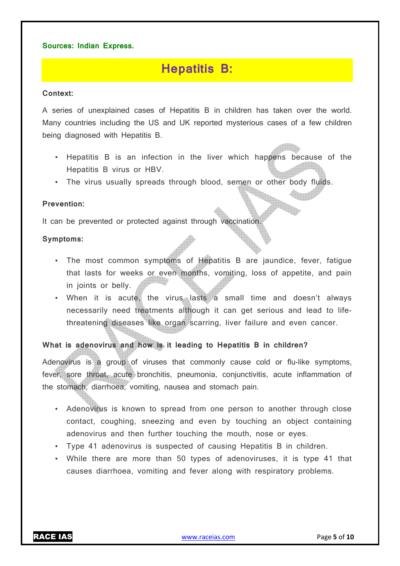### **Sources: Indian Express.**

# **Hepatitis B:**

### **Context:**

A series of unexplained cases of Hepatitis B in children has taken over the world. Many countries including the US and UK reported mysterious cases of a few children being diagnosed with Hepatitis B.

- Hepatitis B is an infection in the liver which happens because of the Hepatitis B virus or HBV.
- The virus usually spreads through blood, semen or other body fluids.

### **Prevention:**

It can be prevented or protected against through vaccination.

### **Symptoms:**

- The most common symptoms of Hepatitis B are jaundice, fever, fatigue that lasts for weeks or even months, vomiting, loss of appetite, and pain in joints or belly.
- When it is acute, the virus lasts a small time and doesn't always necessarily need treatments although it can get serious and lead to lifethreatening diseases like organ scarring, liver failure and even cancer.

### **What is adenovirus and how is it leading to Hepatitis B in children?**

Adenovirus is a group of viruses that commonly cause cold or flu-like symptoms, fever, sore throat, acute bronchitis, pneumonia, conjunctivitis, acute inflammation of the stomach, diarrhoea, vomiting, nausea and stomach pain.

- Adenovirus is known to spread from one person to another through close contact, coughing, sneezing and even by touching an object containing adenovirus and then further touching the mouth, nose or eyes.
- Type 41 adenovirus is suspected of causing Hepatitis B in children.
- While there are more than 50 types of adenoviruses, it is type 41 that causes diarrhoea, vomiting and fever along with respiratory problems.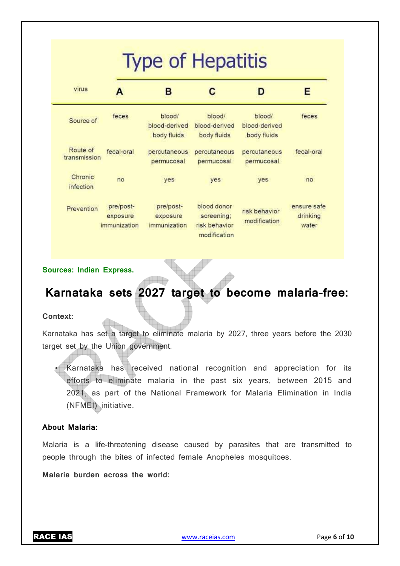# **Type of Hepatitis**

| virus                    | А                                     | в                                      | C                                                          | D                                      | Е                                |
|--------------------------|---------------------------------------|----------------------------------------|------------------------------------------------------------|----------------------------------------|----------------------------------|
| Source of                | feces                                 | blood/<br>blood-derived<br>body fluids | blood/<br>blood-derived<br>body fluids                     | blood/<br>blood-derived<br>body fluids | feces                            |
| Route of<br>transmission | fecal-oral                            | percutaneous<br>permucosal             | percutaneous<br>permucosal                                 | percutaneous<br>permucosal             | fecal-oral                       |
| Chronic<br>infection     | no                                    | yes                                    | yes                                                        | yes                                    | no                               |
| Prevention               | pre/post-<br>exposure<br>immunization | pre/post-<br>exposure<br>immunization  | blood donor<br>screening;<br>risk behavior<br>modification | risk behavior<br>modification          | ensure safe<br>drinking<br>water |

**Sources: Indian Express.**

# **Karnataka sets 2027 target to become malaria-free:**

### **Context:**

Karnataka has set a target to eliminate malaria by 2027, three years before the 2030 target set by the Union government.

• Karnataka has received national recognition and appreciation for its efforts to eliminate malaria in the past six years, between 2015 and 2021, as part of the National Framework for Malaria Elimination in India (NFMEI) initiative.

### **About Malaria:**

Malaria is a life-threatening disease caused by parasites that are transmitted to people through the bites of infected female Anopheles mosquitoes.

**Malaria burden across the world:**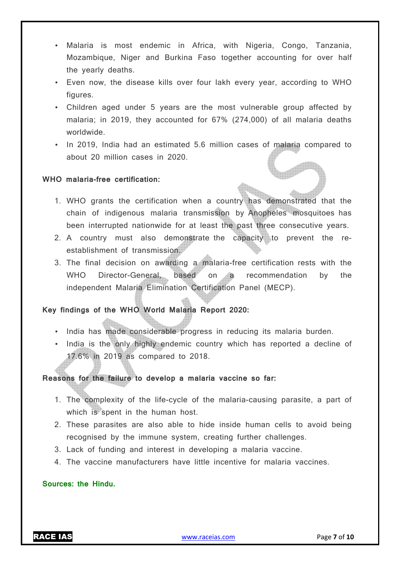- Malaria is most endemic in Africa, with Nigeria, Congo, Tanzania, Mozambique, Niger and Burkina Faso together accounting for over half the yearly deaths.
- Even now, the disease kills over four lakh every year, according to WHO figures.
- Children aged under 5 years are the most vulnerable group affected by malaria; in 2019, they accounted for 67% (274,000) of all malaria deaths worldwide.
- In 2019, India had an estimated 5.6 million cases of malaria compared to about 20 million cases in 2020.

### **WHO malaria-free certification:**

- 1. WHO grants the certification when a country has demonstrated that the chain of indigenous malaria transmission by Anopheles mosquitoes has been interrupted nationwide for at least the past three consecutive years.
- 2. A country must also demonstrate the capacity to prevent the reestablishment of transmission.
- 3. The final decision on awarding a malaria-free certification rests with the WHO Director-General, based on a recommendation by the independent Malaria Elimination Certification Panel (MECP).

### **Key findings of the WHO World Malaria Report 2020:**

- India has made considerable progress in reducing its malaria burden.
- India is the only highly endemic country which has reported a decline of 17.6% in 2019 as compared to 2018.

### **Reasons for the failure to develop a malaria vaccine so far:**

- 1. The complexity of the life-cycle of the malaria-causing parasite, a part of which is spent in the human host.
- 2. These parasites are also able to hide inside human cells to avoid being recognised by the immune system, creating further challenges.
- 3. Lack of funding and interest in developing a malaria vaccine.
- 4. The vaccine manufacturers have little incentive for malaria vaccines.

### **Sources: the Hindu.**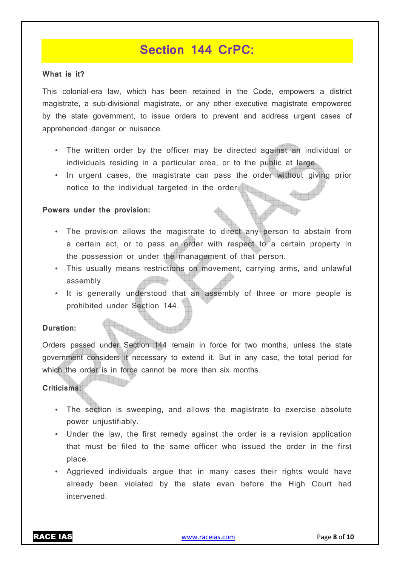### **Section 144 CrPC:**

### **What is it?**

This colonial-era law, which has been retained in the Code, empowers a district magistrate, a sub-divisional magistrate, or any other executive magistrate empowered by the state government, to issue orders to prevent and address urgent cases of apprehended danger or nuisance.

- The written order by the officer may be directed against an individual or individuals residing in a particular area, or to the public at large.
- In urgent cases, the magistrate can pass the order without giving prior notice to the individual targeted in the order.

### **Powers under the provision:**

- The provision allows the magistrate to direct any person to abstain from a certain act, or to pass an order with respect to a certain property in the possession or under the management of that person.
- This usually means restrictions on movement, carrying arms, and unlawful assembly.
- It is generally understood that an assembly of three or more people is prohibited under Section 144.

### **Duration:**

Orders passed under Section 144 remain in force for two months, unless the state government considers it necessary to extend it. But in any case, the total period for which the order is in force cannot be more than six months.

### **Criticisms:**

- The section is sweeping, and allows the magistrate to exercise absolute power unjustifiably.
- Under the law, the first remedy against the order is a revision application that must be filed to the same officer who issued the order in the first place.
- Aggrieved individuals argue that in many cases their rights would have already been violated by the state even before the High Court had intervened.

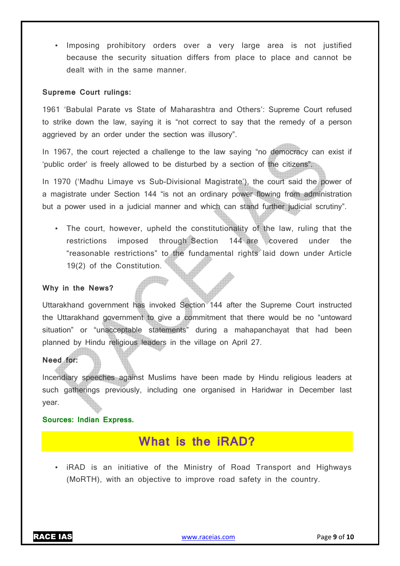• Imposing prohibitory orders over a very large area is not justified because the security situation differs from place to place and cannot be dealt with in the same manner.

### **Supreme Court rulings:**

1961 'Babulal Parate vs State of Maharashtra and Others': Supreme Court refused to strike down the law, saying it is "not correct to say that the remedy of a person aggrieved by an order under the section was illusory".

In 1967, the court rejected a challenge to the law saying "no democracy can exist if 'public order' is freely allowed to be disturbed by a section of the citizens".

In 1970 ('Madhu Limaye vs Sub-Divisional Magistrate'), the court said the power of a magistrate under Section 144 "is not an ordinary power flowing from administration but a power used in a judicial manner and which can stand further judicial scrutiny".

• The court, however, upheld the constitutionality of the law, ruling that the restrictions imposed through Section 144 are covered under the "reasonable restrictions" to the fundamental rights laid down under Article 19(2) of the Constitution.

### **Why in the News?**

Uttarakhand government has invoked Section 144 after the Supreme Court instructed the Uttarakhand government to give a commitment that there would be no "untoward situation" or "unacceptable statements" during a mahapanchayat that had been planned by Hindu religious leaders in the village on April 27.

### **Need for:**

Incendiary speeches against Muslims have been made by Hindu religious leaders at such gatherings previously, including one organised in Haridwar in December last year.

### **Sources: Indian Express.**

# **What is the iRAD?**

• iRAD is an initiative of the Ministry of Road Transport and Highways (MoRTH), with an objective to improve road safety in the country.